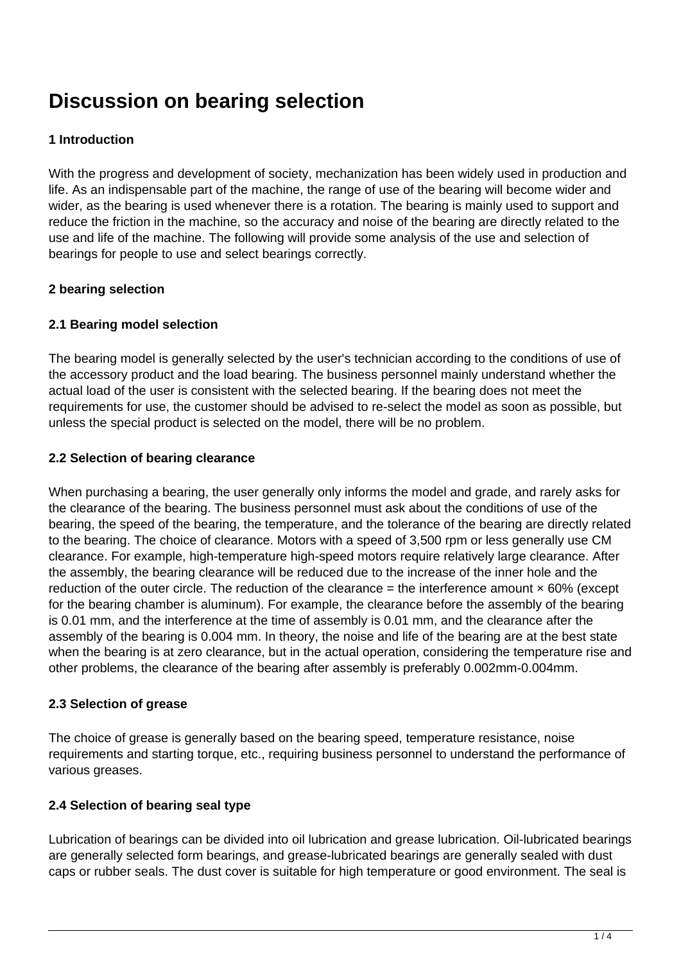# **Discussion on bearing selection**

# **1 Introduction**

With the progress and development of society, mechanization has been widely used in production and life. As an indispensable part of the machine, the range of use of the bearing will become wider and wider, as the bearing is used whenever there is a rotation. The bearing is mainly used to support and reduce the friction in the machine, so the accuracy and noise of the bearing are directly related to the use and life of the machine. The following will provide some analysis of the use and selection of bearings for people to use and select bearings correctly.

## **2 bearing selection**

## **2.1 Bearing model selection**

The bearing model is generally selected by the user's technician according to the conditions of use of the accessory product and the load bearing. The business personnel mainly understand whether the actual load of the user is consistent with the selected bearing. If the bearing does not meet the requirements for use, the customer should be advised to re-select the model as soon as possible, but unless the special product is selected on the model, there will be no problem.

## **2.2 Selection of bearing clearance**

When purchasing a bearing, the user generally only informs the model and grade, and rarely asks for the clearance of the bearing. The business personnel must ask about the conditions of use of the bearing, the speed of the bearing, the temperature, and the tolerance of the bearing are directly related to the bearing. The choice of clearance. Motors with a speed of 3,500 rpm or less generally use CM clearance. For example, high-temperature high-speed motors require relatively large clearance. After the assembly, the bearing clearance will be reduced due to the increase of the inner hole and the reduction of the outer circle. The reduction of the clearance = the interference amount  $\times$  60% (except for the bearing chamber is aluminum). For example, the clearance before the assembly of the bearing is 0.01 mm, and the interference at the time of assembly is 0.01 mm, and the clearance after the assembly of the bearing is 0.004 mm. In theory, the noise and life of the bearing are at the best state when the bearing is at zero clearance, but in the actual operation, considering the temperature rise and other problems, the clearance of the bearing after assembly is preferably 0.002mm-0.004mm.

## **2.3 Selection of grease**

The choice of grease is generally based on the bearing speed, temperature resistance, noise requirements and starting torque, etc., requiring business personnel to understand the performance of various greases.

## **2.4 Selection of bearing seal type**

Lubrication of bearings can be divided into oil lubrication and grease lubrication. Oil-lubricated bearings are generally selected form bearings, and grease-lubricated bearings are generally sealed with dust caps or rubber seals. The dust cover is suitable for high temperature or good environment. The seal is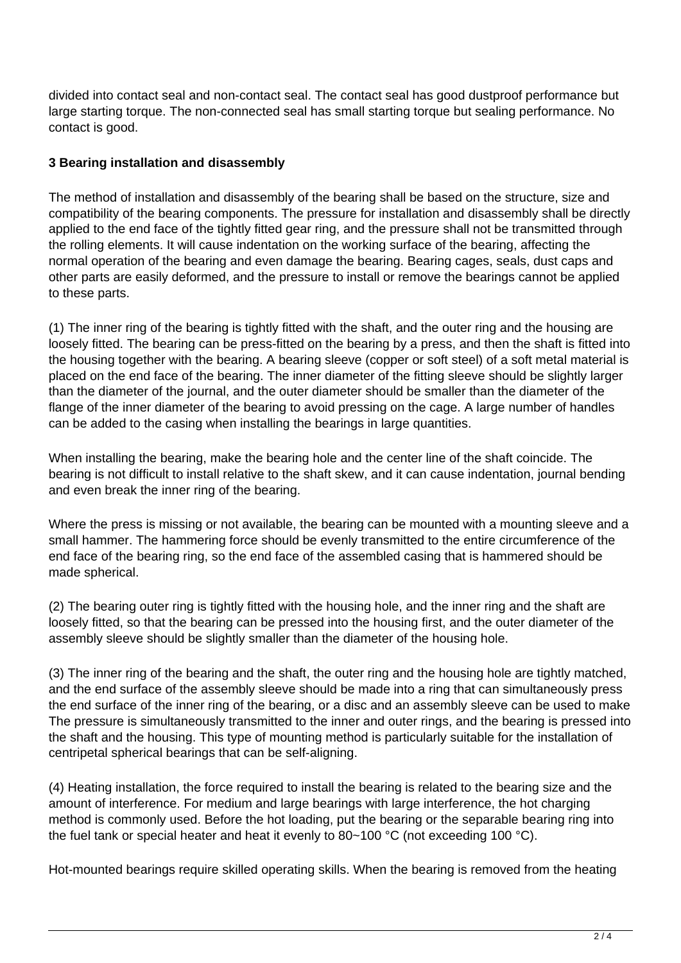divided into contact seal and non-contact seal. The contact seal has good dustproof performance but large starting torque. The non-connected seal has small starting torque but sealing performance. No contact is good.

#### **3 Bearing installation and disassembly**

The method of installation and disassembly of the bearing shall be based on the structure, size and compatibility of the bearing components. The pressure for installation and disassembly shall be directly applied to the end face of the tightly fitted gear ring, and the pressure shall not be transmitted through the rolling elements. It will cause indentation on the working surface of the bearing, affecting the normal operation of the bearing and even damage the bearing. Bearing cages, seals, dust caps and other parts are easily deformed, and the pressure to install or remove the bearings cannot be applied to these parts.

(1) The inner ring of the bearing is tightly fitted with the shaft, and the outer ring and the housing are loosely fitted. The bearing can be press-fitted on the bearing by a press, and then the shaft is fitted into the housing together with the bearing. A bearing sleeve (copper or soft steel) of a soft metal material is placed on the end face of the bearing. The inner diameter of the fitting sleeve should be slightly larger than the diameter of the journal, and the outer diameter should be smaller than the diameter of the flange of the inner diameter of the bearing to avoid pressing on the cage. A large number of handles can be added to the casing when installing the bearings in large quantities.

When installing the bearing, make the bearing hole and the center line of the shaft coincide. The bearing is not difficult to install relative to the shaft skew, and it can cause indentation, journal bending and even break the inner ring of the bearing.

Where the press is missing or not available, the bearing can be mounted with a mounting sleeve and a small hammer. The hammering force should be evenly transmitted to the entire circumference of the end face of the bearing ring, so the end face of the assembled casing that is hammered should be made spherical.

(2) The bearing outer ring is tightly fitted with the housing hole, and the inner ring and the shaft are loosely fitted, so that the bearing can be pressed into the housing first, and the outer diameter of the assembly sleeve should be slightly smaller than the diameter of the housing hole.

(3) The inner ring of the bearing and the shaft, the outer ring and the housing hole are tightly matched, and the end surface of the assembly sleeve should be made into a ring that can simultaneously press the end surface of the inner ring of the bearing, or a disc and an assembly sleeve can be used to make The pressure is simultaneously transmitted to the inner and outer rings, and the bearing is pressed into the shaft and the housing. This type of mounting method is particularly suitable for the installation of centripetal spherical bearings that can be self-aligning.

(4) Heating installation, the force required to install the bearing is related to the bearing size and the amount of interference. For medium and large bearings with large interference, the hot charging method is commonly used. Before the hot loading, put the bearing or the separable bearing ring into the fuel tank or special heater and heat it evenly to 80~100 °C (not exceeding 100 °C).

Hot-mounted bearings require skilled operating skills. When the bearing is removed from the heating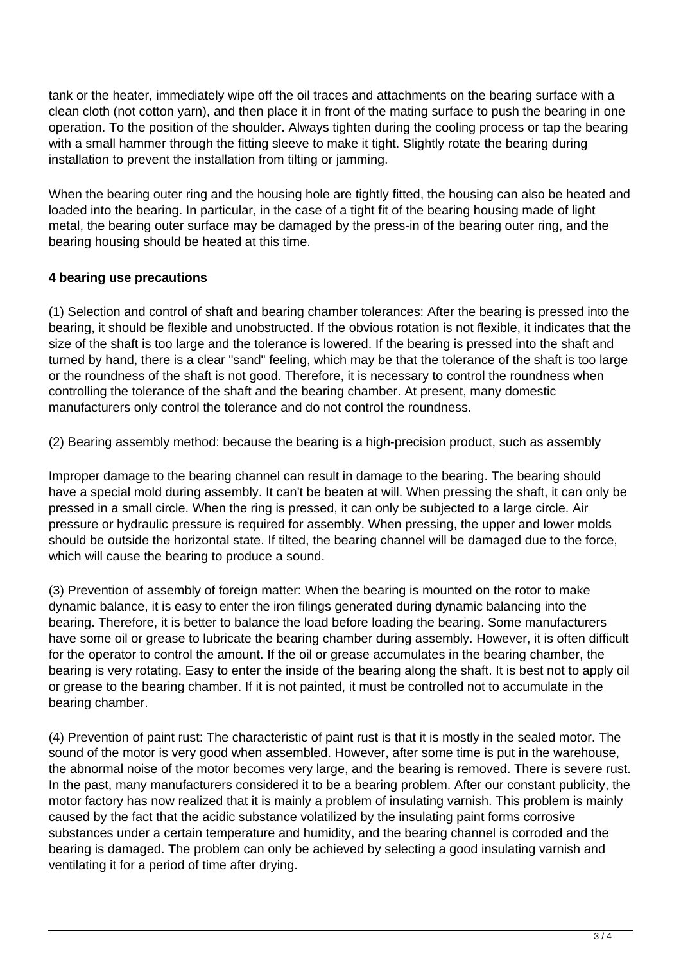tank or the heater, immediately wipe off the oil traces and attachments on the bearing surface with a clean cloth (not cotton yarn), and then place it in front of the mating surface to push the bearing in one operation. To the position of the shoulder. Always tighten during the cooling process or tap the bearing with a small hammer through the fitting sleeve to make it tight. Slightly rotate the bearing during installation to prevent the installation from tilting or jamming.

When the bearing outer ring and the housing hole are tightly fitted, the housing can also be heated and loaded into the bearing. In particular, in the case of a tight fit of the bearing housing made of light metal, the bearing outer surface may be damaged by the press-in of the bearing outer ring, and the bearing housing should be heated at this time.

## **4 bearing use precautions**

(1) Selection and control of shaft and bearing chamber tolerances: After the bearing is pressed into the bearing, it should be flexible and unobstructed. If the obvious rotation is not flexible, it indicates that the size of the shaft is too large and the tolerance is lowered. If the bearing is pressed into the shaft and turned by hand, there is a clear "sand" feeling, which may be that the tolerance of the shaft is too large or the roundness of the shaft is not good. Therefore, it is necessary to control the roundness when controlling the tolerance of the shaft and the bearing chamber. At present, many domestic manufacturers only control the tolerance and do not control the roundness.

(2) Bearing assembly method: because the bearing is a high-precision product, such as assembly

Improper damage to the bearing channel can result in damage to the bearing. The bearing should have a special mold during assembly. It can't be beaten at will. When pressing the shaft, it can only be pressed in a small circle. When the ring is pressed, it can only be subjected to a large circle. Air pressure or hydraulic pressure is required for assembly. When pressing, the upper and lower molds should be outside the horizontal state. If tilted, the bearing channel will be damaged due to the force, which will cause the bearing to produce a sound.

(3) Prevention of assembly of foreign matter: When the bearing is mounted on the rotor to make dynamic balance, it is easy to enter the iron filings generated during dynamic balancing into the bearing. Therefore, it is better to balance the load before loading the bearing. Some manufacturers have some oil or grease to lubricate the bearing chamber during assembly. However, it is often difficult for the operator to control the amount. If the oil or grease accumulates in the bearing chamber, the bearing is very rotating. Easy to enter the inside of the bearing along the shaft. It is best not to apply oil or grease to the bearing chamber. If it is not painted, it must be controlled not to accumulate in the bearing chamber.

(4) Prevention of paint rust: The characteristic of paint rust is that it is mostly in the sealed motor. The sound of the motor is very good when assembled. However, after some time is put in the warehouse, the abnormal noise of the motor becomes very large, and the bearing is removed. There is severe rust. In the past, many manufacturers considered it to be a bearing problem. After our constant publicity, the motor factory has now realized that it is mainly a problem of insulating varnish. This problem is mainly caused by the fact that the acidic substance volatilized by the insulating paint forms corrosive substances under a certain temperature and humidity, and the bearing channel is corroded and the bearing is damaged. The problem can only be achieved by selecting a good insulating varnish and ventilating it for a period of time after drying.